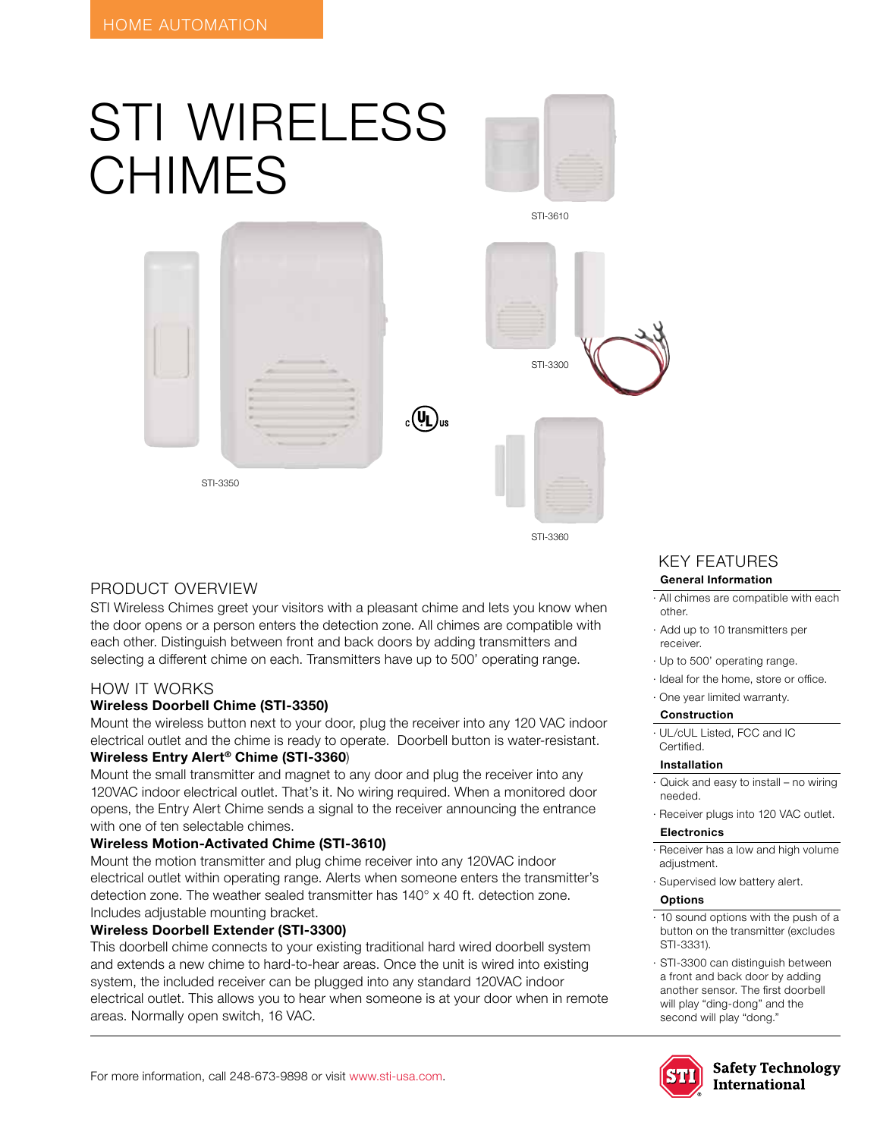# STI WIRELESS CHIMES



STI-3610



STI-3360

### PRODUCT OVERVIEW

STI Wireless Chimes greet your visitors with a pleasant chime and lets you know when the door opens or a person enters the detection zone. All chimes are compatible with each other. Distinguish between front and back doors by adding transmitters and selecting a different chime on each. Transmitters have up to 500' operating range.

 $_{\rm c}(\Psi_{\rm L})_{\rm us}$ 

### HOW IT WORKS

### **Wireless Doorbell Chime (STI-3350)**

STI-3350

Mount the wireless button next to your door, plug the receiver into any 120 VAC indoor electrical outlet and the chime is ready to operate. Doorbell button is water-resistant.

### **Wireless Entry Alert® Chime (STI-3360**)

Mount the small transmitter and magnet to any door and plug the receiver into any 120VAC indoor electrical outlet. That's it. No wiring required. When a monitored door opens, the Entry Alert Chime sends a signal to the receiver announcing the entrance with one of ten selectable chimes.

### **Wireless Motion-Activated Chime (STI-3610)**

Mount the motion transmitter and plug chime receiver into any 120VAC indoor electrical outlet within operating range. Alerts when someone enters the transmitter's detection zone. The weather sealed transmitter has 140° x 40 ft. detection zone. Includes adjustable mounting bracket.

### **Wireless Doorbell Extender (STI-3300)**

This doorbell chime connects to your existing traditional hard wired doorbell system and extends a new chime to hard-to-hear areas. Once the unit is wired into existing system, the included receiver can be plugged into any standard 120VAC indoor electrical outlet. This allows you to hear when someone is at your door when in remote areas. Normally open switch, 16 VAC.

### KEY FEATURES **General Information**

- · All chimes are compatible with each other.
- · Add up to 10 transmitters per receiver.
- · Up to 500' operating range.
- · Ideal for the home, store or office.
- · One year limited warranty.

### **Construction**

· UL/cUL Listed, FCC and IC Certified.

### **Installation**

- · Quick and easy to install no wiring needed.
- · Receiver plugs into 120 VAC outlet. **Electronics**

- · Receiver has a low and high volume adjustment.
- · Supervised low battery alert.

### **Options**

- · 10 sound options with the push of a button on the transmitter (excludes STI-3331).
- · STI-3300 can distinguish between a front and back door by adding another sensor. The first doorbell will play "ding-dong" and the second will play "dong."